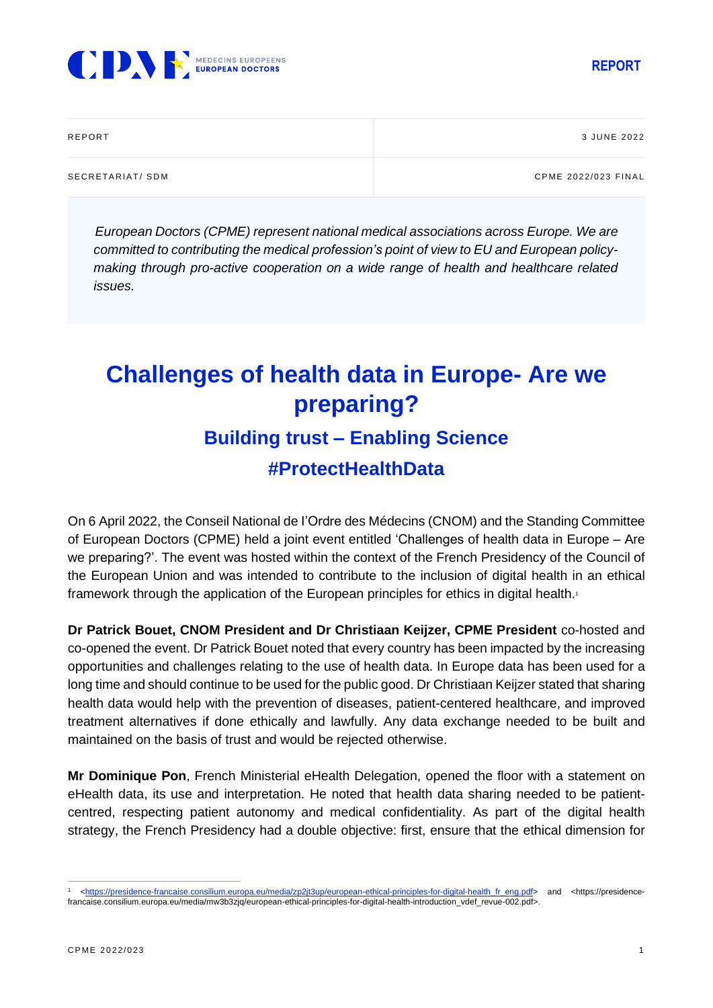



| REPORT          | 3 JUNE 2022         |
|-----------------|---------------------|
| SECRETARIAT/SDM | CPME 2022/023 FINAL |

*European Doctors (CPME) represent national medical associations across Europe. We are committed to contributing the medical profession's point of view to EU and European policymaking through pro-active cooperation on a wide range of health and healthcare related issues.*

## **Challenges of health data in Europe- Are we preparing? Building trust – Enabling Science #ProtectHealthData**

On 6 April 2022, the Conseil National de I'Ordre des Médecins (CNOM) and the Standing Committee of European Doctors (CPME) held a joint event entitled 'Challenges of health data in Europe – Are we preparing?'. The event was hosted within the context of the French Presidency of the Council of the European Union and was intended to contribute to the inclusion of digital health in an ethical framework through the application of the European principles for ethics in digital health.<sup>1</sup>

**Dr Patrick Bouet, CNOM President and Dr Christiaan Keijzer, CPME President** co-hosted and co-opened the event. Dr Patrick Bouet noted that every country has been impacted by the increasing opportunities and challenges relating to the use of health data. In Europe data has been used for a long time and should continue to be used for the public good. Dr Christiaan Keijzer stated that sharing health data would help with the prevention of diseases, patient-centered healthcare, and improved treatment alternatives if done ethically and lawfully. Any data exchange needed to be built and maintained on the basis of trust and would be rejected otherwise.

**Mr Dominique Pon**, French Ministerial eHealth Delegation, opened the floor with a statement on eHealth data, its use and interpretation. He noted that health data sharing needed to be patientcentred, respecting patient autonomy and medical confidentiality. As part of the digital health strategy, the French Presidency had a double objective: first, ensure that the ethical dimension for

<sup>1</sup> [<https://presidence-francaise.consilium.europa.eu/media/zp2jt3up/european-ethical-principles-for-digital-health\\_fr\\_eng.pdf>](https://presidence-francaise.consilium.europa.eu/media/zp2jt3up/european-ethical-principles-for-digital-health_fr_eng.pdf) and <https://presidencefrancaise.consilium.europa.eu/media/mw3b3zjq/european-ethical-principles-for-digital-health-introduction\_vdef\_revue-002.pdf>.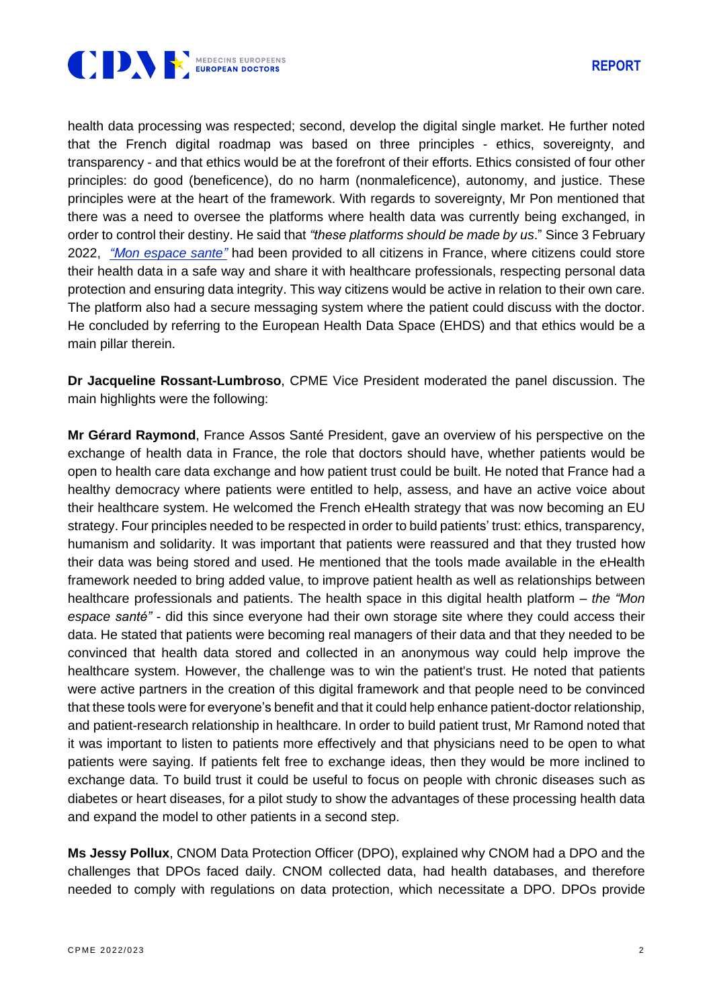

health data processing was respected; second, develop the digital single market. He further noted that the French digital roadmap was based on three principles - ethics, sovereignty, and transparency - and that ethics would be at the forefront of their efforts. Ethics consisted of four other principles: do good (beneficence), do no harm (nonmaleficence), autonomy, and justice. These principles were at the heart of the framework. With regards to sovereignty, Mr Pon mentioned that there was a need to oversee the platforms where health data was currently being exchanged, in order to control their destiny. He said that *"these platforms should be made by us*." Since 3 February 2022, *"Mon [espace](https://www.monespacesante.fr/) sante"* had been provided to all citizens in France, where citizens could store their health data in a safe way and share it with healthcare professionals, respecting personal data protection and ensuring data integrity. This way citizens would be active in relation to their own care. The platform also had a secure messaging system where the patient could discuss with the doctor. He concluded by referring to the European Health Data Space (EHDS) and that ethics would be a main pillar therein.

**Dr Jacqueline Rossant-Lumbroso**, CPME Vice President moderated the panel discussion. The main highlights were the following:

**Mr Gérard Raymond**, France Assos Santé President, gave an overview of his perspective on the exchange of health data in France, the role that doctors should have, whether patients would be open to health care data exchange and how patient trust could be built. He noted that France had a healthy democracy where patients were entitled to help, assess, and have an active voice about their healthcare system. He welcomed the French eHealth strategy that was now becoming an EU strategy. Four principles needed to be respected in order to build patients' trust: ethics, transparency, humanism and solidarity. It was important that patients were reassured and that they trusted how their data was being stored and used. He mentioned that the tools made available in the eHealth framework needed to bring added value, to improve patient health as well as relationships between healthcare professionals and patients. The health space in this digital health platform – *the "Mon espace santé"* - did this since everyone had their own storage site where they could access their data. He stated that patients were becoming real managers of their data and that they needed to be convinced that health data stored and collected in an anonymous way could help improve the healthcare system. However, the challenge was to win the patient's trust. He noted that patients were active partners in the creation of this digital framework and that people need to be convinced that these tools were for everyone's benefit and that it could help enhance patient-doctor relationship, and patient-research relationship in healthcare. In order to build patient trust, Mr Ramond noted that it was important to listen to patients more effectively and that physicians need to be open to what patients were saying. If patients felt free to exchange ideas, then they would be more inclined to exchange data. To build trust it could be useful to focus on people with chronic diseases such as diabetes or heart diseases, for a pilot study to show the advantages of these processing health data and expand the model to other patients in a second step.

**Ms Jessy Pollux**, CNOM Data Protection Officer (DPO), explained why CNOM had a DPO and the challenges that DPOs faced daily. CNOM collected data, had health databases, and therefore needed to comply with regulations on data protection, which necessitate a DPO. DPOs provide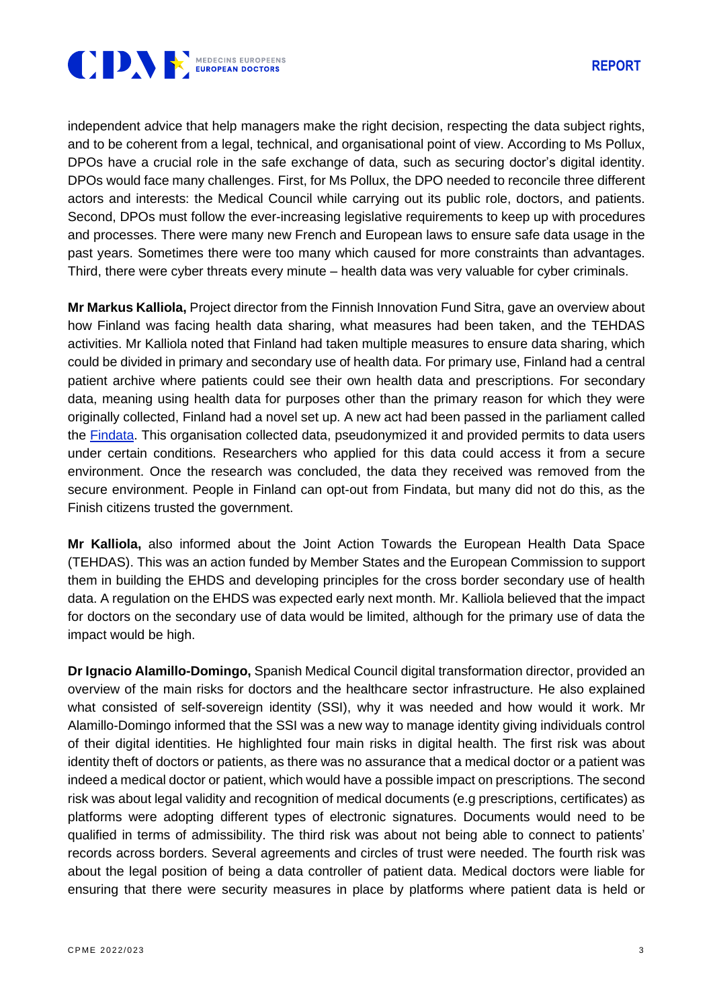

independent advice that help managers make the right decision, respecting the data subject rights, and to be coherent from a legal, technical, and organisational point of view. According to Ms Pollux, DPOs have a crucial role in the safe exchange of data, such as securing doctor's digital identity. DPOs would face many challenges. First, for Ms Pollux, the DPO needed to reconcile three different actors and interests: the Medical Council while carrying out its public role, doctors, and patients. Second, DPOs must follow the ever-increasing legislative requirements to keep up with procedures and processes. There were many new French and European laws to ensure safe data usage in the past years. Sometimes there were too many which caused for more constraints than advantages. Third, there were cyber threats every minute – health data was very valuable for cyber criminals.

**Mr Markus Kalliola,** Project director from the Finnish Innovation Fund Sitra, gave an overview about how Finland was facing health data sharing, what measures had been taken, and the TEHDAS activities. Mr Kalliola noted that Finland had taken multiple measures to ensure data sharing, which could be divided in primary and secondary use of health data. For primary use, Finland had a central patient archive where patients could see their own health data and prescriptions. For secondary data, meaning using health data for purposes other than the primary reason for which they were originally collected, Finland had a novel set up. A new act had been passed in the parliament called the [Findata.](https://findata.fi/en/) This organisation collected data, pseudonymized it and provided permits to data users under certain conditions. Researchers who applied for this data could access it from a secure environment. Once the research was concluded, the data they received was removed from the secure environment. People in Finland can opt-out from Findata, but many did not do this, as the Finish citizens trusted the government.

**Mr Kalliola,** also informed about the Joint Action Towards the European Health Data Space (TEHDAS). This was an action funded by Member States and the European Commission to support them in building the EHDS and developing principles for the cross border secondary use of health data. A regulation on the EHDS was expected early next month. Mr. Kalliola believed that the impact for doctors on the secondary use of data would be limited, although for the primary use of data the impact would be high.

**Dr Ignacio Alamillo-Domingo,** Spanish Medical Council digital transformation director, provided an overview of the main risks for doctors and the healthcare sector infrastructure. He also explained what consisted of self-sovereign identity (SSI), why it was needed and how would it work. Mr Alamillo-Domingo informed that the SSI was a new way to manage identity giving individuals control of their digital identities. He highlighted four main risks in digital health. The first risk was about identity theft of doctors or patients, as there was no assurance that a medical doctor or a patient was indeed a medical doctor or patient, which would have a possible impact on prescriptions. The second risk was about legal validity and recognition of medical documents (e.g prescriptions, certificates) as platforms were adopting different types of electronic signatures. Documents would need to be qualified in terms of admissibility. The third risk was about not being able to connect to patients' records across borders. Several agreements and circles of trust were needed. The fourth risk was about the legal position of being a data controller of patient data. Medical doctors were liable for ensuring that there were security measures in place by platforms where patient data is held or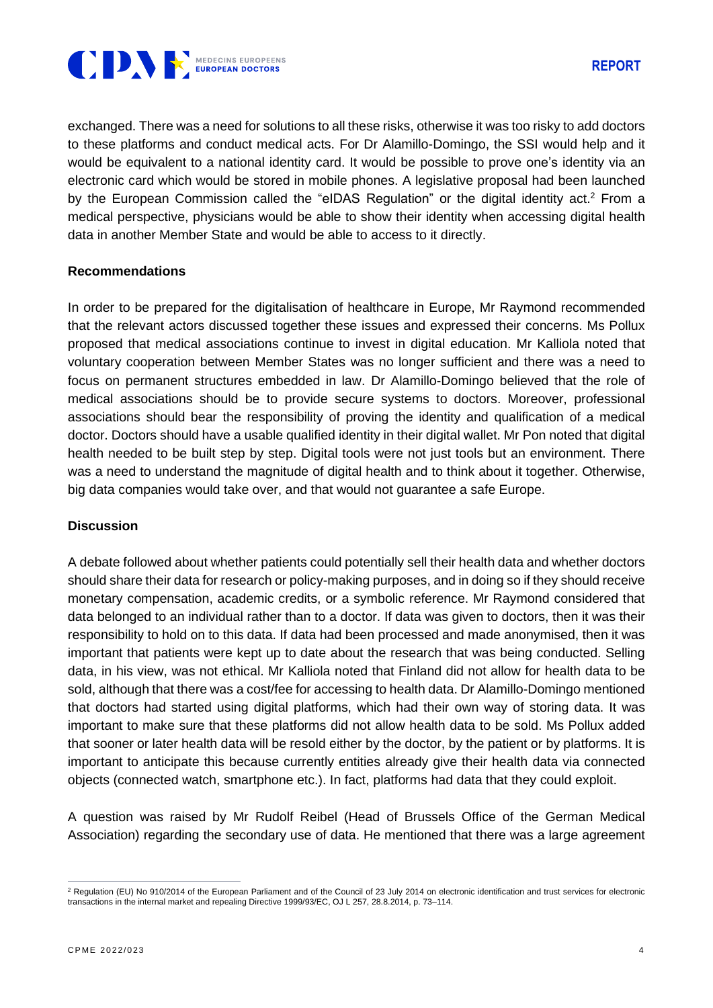

exchanged. There was a need for solutions to all these risks, otherwise it was too risky to add doctors to these platforms and conduct medical acts. For Dr Alamillo-Domingo, the SSI would help and it would be equivalent to a national identity card. It would be possible to prove one's identity via an electronic card which would be stored in mobile phones. A legislative proposal had been launched by the European Commission called the "eIDAS Regulation" or the digital identity act.<sup>2</sup> From a medical perspective, physicians would be able to show their identity when accessing digital health data in another Member State and would be able to access to it directly.

## **Recommendations**

In order to be prepared for the digitalisation of healthcare in Europe, Mr Raymond recommended that the relevant actors discussed together these issues and expressed their concerns. Ms Pollux proposed that medical associations continue to invest in digital education. Mr Kalliola noted that voluntary cooperation between Member States was no longer sufficient and there was a need to focus on permanent structures embedded in law. Dr Alamillo-Domingo believed that the role of medical associations should be to provide secure systems to doctors. Moreover, professional associations should bear the responsibility of proving the identity and qualification of a medical doctor. Doctors should have a usable qualified identity in their digital wallet. Mr Pon noted that digital health needed to be built step by step. Digital tools were not just tools but an environment. There was a need to understand the magnitude of digital health and to think about it together. Otherwise, big data companies would take over, and that would not guarantee a safe Europe.

## **Discussion**

A debate followed about whether patients could potentially sell their health data and whether doctors should share their data for research or policy-making purposes, and in doing so if they should receive monetary compensation, academic credits, or a symbolic reference. Mr Raymond considered that data belonged to an individual rather than to a doctor. If data was given to doctors, then it was their responsibility to hold on to this data. If data had been processed and made anonymised, then it was important that patients were kept up to date about the research that was being conducted. Selling data, in his view, was not ethical. Mr Kalliola noted that Finland did not allow for health data to be sold, although that there was a cost/fee for accessing to health data. Dr Alamillo-Domingo mentioned that doctors had started using digital platforms, which had their own way of storing data. It was important to make sure that these platforms did not allow health data to be sold. Ms Pollux added that sooner or later health data will be resold either by the doctor, by the patient or by platforms. It is important to anticipate this because currently entities already give their health data via connected objects (connected watch, smartphone etc.). In fact, platforms had data that they could exploit.

A question was raised by Mr Rudolf Reibel (Head of Brussels Office of the German Medical Association) regarding the secondary use of data. He mentioned that there was a large agreement

<sup>&</sup>lt;sup>2</sup> Regulation (EU) No 910/2014 of the European Parliament and of the Council of 23 July 2014 on electronic identification and trust services for electronic transactions in the internal market and repealing Directive 1999/93/EC, OJ L 257, 28.8.2014, p. 73–114.